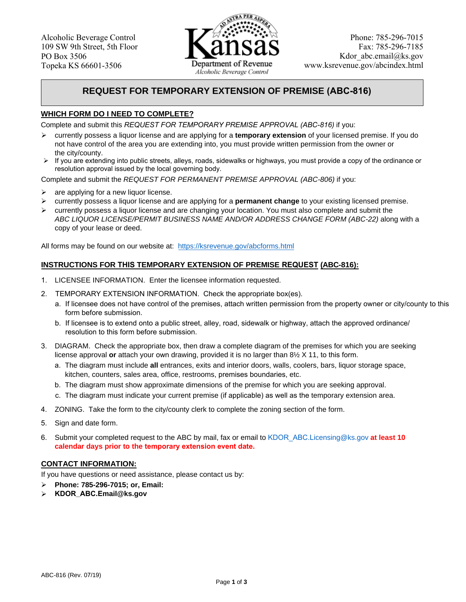

## **REQUEST FOR TEMPORARY EXTENSION OF PREMISE (ABC-816)**

### **WHICH FORM DO I NEED TO COMPLETE?**

Complete and submit this *REQUEST FOR TEMPORARY PREMISE APPROVAL (ABC-816)* if you:

- currently possess a liquor license and are applying for a **temporary extension** of your licensed premise. If you do not have control of the area you are extending into, you must provide written permission from the owner or the city/county.
- $\triangleright$  If you are extending into public streets, alleys, roads, sidewalks or highways, you must provide a copy of the ordinance or resolution approval issued by the local governing body.

Complete and submit the *REQUEST FOR PERMANENT PREMISE APPROVAL (ABC-806)* if you:

- $\blacktriangleright$ are applying for a new liquor license.
- $\blacktriangleright$ currently possess a liquor license and are applying for a **permanent change** to your existing licensed premise.
- $\triangleright$  currently possess a liquor license and are changing your location. You must also complete and submit the  *ABC LIQUOR LICENSE/PERMIT BUSINESS NAME AND/OR ADDRESS CHANGE FORM (ABC-22)* along with a copy of your lease or deed.

All forms may be found on our website at: https://ksrevenue.gov/abcforms.html

#### **INSTRUCTIONS FOR THIS TEMPORARY EXTENSION OF PREMISE REQUEST (ABC-816):**

- 1. LICENSEE INFORMATION. Enter the licensee information requested.
- 2. TEMPORARY EXTENSION INFORMATION. Check the appropriate box(es).
	- a. If licensee does not have control of the premises, attach written permission from the property owner or city/county to this form before submission.
	- b. If licensee is to extend onto a public street, alley, road, sidewalk or highway, attach the approved ordinance/ resolution to this form before submission.
- 3. DIAGRAM. Check the appropriate box, then draw a complete diagram of the premises for which you are seeking license approval **or** attach your own drawing, provided it is no larger than 8½ X 11, to this form.
	- a. The diagram must include **all** entrances, exits and interior doors, walls, coolers, bars, liquor storage space, kitchen, counters, sales area, office, restrooms, premises boundaries, etc.
	- b. The diagram must show approximate dimensions of the premise for which you are seeking approval.
	- c. The diagram must indicate your current premise (if applicable) as well as the temporary extension area.
- 4. ZONING. Take the form to the city/county clerk to complete the zoning section of the form.
- 5. Sign and date form.
- 6. Submit your completed request to the ABC by mail, fax or email to KDOR\_ABC.Licensing@ks.gov **at least 10 calendar days prior to the temporary extension event date.**

#### **CONTACT INFORMATION:**

If you have questions or need assistance, please contact us by:

- $\blacktriangleright$ **Phone: 785-296-7015; or, Email:**
- $\blacktriangleright$ **KDOR\_ABC.Email@ks.gov**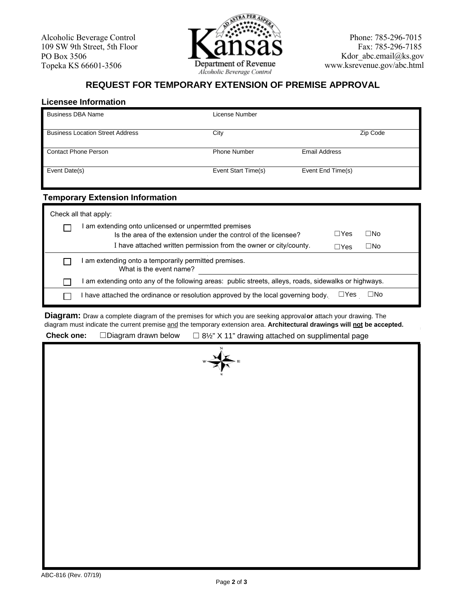

# **REQUEST FOR TEMPORARY EXTENSION OF PREMISE APPROVAL**

### **Licensee Information**

| <b>Business DBA Name</b>                | License Number      |                      |
|-----------------------------------------|---------------------|----------------------|
| <b>Business Location Street Address</b> | City                | Zip Code             |
| Contact Phone Person                    | <b>Phone Number</b> | <b>Email Address</b> |
| Event Date(s)                           | Event Start Time(s) | Event End Time(s)    |

### **Temporary Extension Information**

| Check all that apply: |                                                                                                                        |             |     |  |  |
|-----------------------|------------------------------------------------------------------------------------------------------------------------|-------------|-----|--|--|
|                       | am extending onto unlicensed or unpermited premises<br>Is the area of the extension under the control of the licensee? | $\Box Y$ es | □No |  |  |
|                       | I have attached written permission from the owner or city/county.                                                      | $\Box$ Yes  | ⊟No |  |  |
|                       | am extending onto a temporarily permitted premises.<br>What is the event name?                                         |             |     |  |  |
|                       | am extending onto any of the following areas: public streets, alleys, roads, sidewalks or highways.                    |             |     |  |  |
|                       | $\Box$ Yes<br>□No<br>have attached the ordinance or resolution approved by the local governing body.                   |             |     |  |  |

**Diagram:** Draw a complete diagram of the premises for which you are seeking approval **or** attach your drawing. The diagram must indicate the current premise and the temporary extension area. **Architectural drawings will not be accepted.** 

**Check one:** ☐Diagram drawn below ☐ 8½" X11" drawing attached on supplimental page